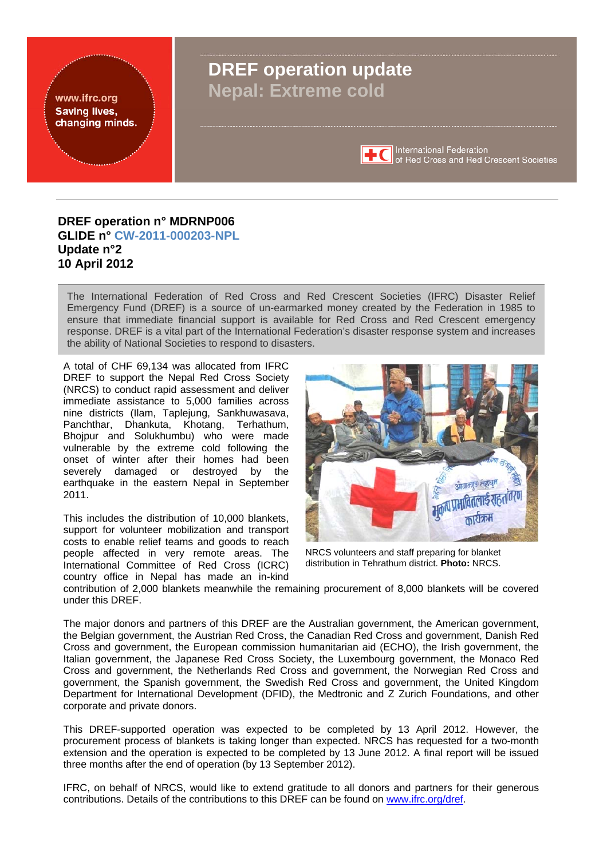<span id="page-0-0"></span>

## **DREF operation n° MDRNP006 GLIDE n° [CW-2011-000203-NPL](http://www.glidenumber.net/glide/public/search/details.jsp?glide=19702&record=1&last=39) Update n°2 10 April 2012**

The International Federation of Red Cross and Red Crescent Societies (IFRC) Disaster Relief Emergency Fund (DREF) is a source of un-earmarked money created by the Federation in 1985 to ensure that immediate financial support is available for Red Cross and Red Crescent emergency response. DREF is a vital part of the International Federation's disaster response system and increases the ability of National Societies to respond to disasters.

A total of CHF 69,134 was allocated from IFRC DREF to support the Nepal Red Cross Society (NRCS) to conduct rapid assessment and deliver immediate assistance to 5,000 families across nine districts (Ilam, Taplejung, Sankhuwasava, Panchthar, Dhankuta, Khotang, Terhathum, Bhojpur and Solukhumbu) who were made vulnerable by the extreme cold following the onset of winter after their homes had been severely damaged or destroyed by the earthquake in the eastern Nepal in September 2011.

This includes the distribution of 10,000 blankets, support for volunteer mobilization and transport costs to enable relief teams and goods to reach people affected in very remote areas. The International Committee of Red Cross (ICRC) country office in Nepal has made an in-kind



NRCS volunteers and staff preparing for blanket distribution in Tehrathum district. **Photo:** NRCS.

contribution of 2,000 blankets meanwhile the remaining procurement of 8,000 blankets will be covered under this DREF.

The major donors and partners of this DREF are the Australian government, the American government, the Belgian government, the Austrian Red Cross, the Canadian Red Cross and government, Danish Red Cross and government, the European commission humanitarian aid (ECHO), the Irish government, the Italian government, the Japanese Red Cross Society, the Luxembourg government, the Monaco Red Cross and government, the Netherlands Red Cross and government, the Norwegian Red Cross and government, the Spanish government, the Swedish Red Cross and government, the United Kingdom Department for International Development (DFID), the Medtronic and Z Zurich Foundations, and other corporate and private donors.

This DREF-supported operation was expected to be completed by 13 April 2012. However, the procurement process of blankets is taking longer than expected. NRCS has requested for a two-month extension and the operation is expected to be completed by 13 June 2012. A final report will be issued three months after the end of operation (by 13 September 2012).

IFRC, on behalf of NRCS, would like to extend gratitude to all donors and partners for their generous contributions. Details of the contributions to this DREF can be found on www.ifrc.org/dref.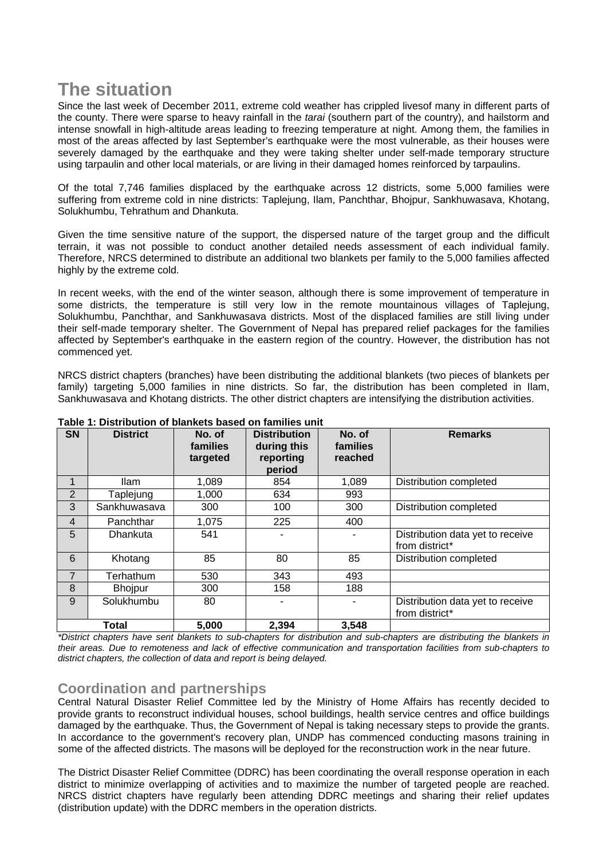# **The situation**

Since the last week of December 2011, extreme cold weather has crippled livesof many in different parts of the county. There were sparse to heavy rainfall in the *tarai* (southern part of the country), and hailstorm and intense snowfall in high-altitude areas leading to freezing temperature at night. Among them, the families in most of the areas affected by last September's earthquake were the most vulnerable, as their houses were severely damaged by the earthquake and they were taking shelter under self-made temporary structure using tarpaulin and other local materials, or are living in their damaged homes reinforced by tarpaulins.

Of the total 7,746 families displaced by the earthquake across 12 districts, some 5,000 families were suffering from extreme cold in nine districts: Taplejung, Ilam, Panchthar, Bhojpur, Sankhuwasava, Khotang, Solukhumbu, Tehrathum and Dhankuta.

Given the time sensitive nature of the support, the dispersed nature of the target group and the difficult terrain, it was not possible to conduct another detailed needs assessment of each individual family. Therefore, NRCS determined to distribute an additional two blankets per family to the 5,000 families affected highly by the extreme cold.

In recent weeks, with the end of the winter season, although there is some improvement of temperature in some districts, the temperature is still very low in the remote mountainous villages of Taplejung, Solukhumbu, Panchthar, and Sankhuwasava districts. Most of the displaced families are still living under their self-made temporary shelter. The Government of Nepal has prepared relief packages for the families affected by September's earthquake in the eastern region of the country. However, the distribution has not commenced yet.

NRCS district chapters (branches) have been distributing the additional blankets (two pieces of blankets per family) targeting 5,000 families in nine districts. So far, the distribution has been completed in Ilam, Sankhuwasava and Khotang districts. The other district chapters are intensifying the distribution activities.

| <b>SN</b>      | <b>District</b> | No. of<br>families<br>targeted | <b>Distribution</b><br>during this<br>reporting<br>period | No. of<br>families<br>reached | <b>Remarks</b>                                     |
|----------------|-----------------|--------------------------------|-----------------------------------------------------------|-------------------------------|----------------------------------------------------|
| 1              | <b>Ilam</b>     | 1,089                          | 854                                                       | 1,089                         | Distribution completed                             |
| 2              | Taplejung       | 1,000                          | 634                                                       | 993                           |                                                    |
| 3              | Sankhuwasaya    | 300                            | 100                                                       | 300                           | Distribution completed                             |
| 4              | Panchthar       | 1,075                          | 225                                                       | 400                           |                                                    |
| 5              | Dhankuta        | 541                            |                                                           |                               | Distribution data yet to receive<br>from district* |
| 6              | Khotang         | 85                             | 80                                                        | 85                            | Distribution completed                             |
| $\overline{7}$ | Terhathum       | 530                            | 343                                                       | 493                           |                                                    |
| 8              | <b>Bhojpur</b>  | 300                            | 158                                                       | 188                           |                                                    |
| 9              | Solukhumbu      | 80                             |                                                           |                               | Distribution data yet to receive<br>from district* |
| <b>Total</b>   |                 | 5,000                          | 2,394                                                     | 3,548                         |                                                    |

### **Table 1: Distribution of blankets based on families unit**

*\*District chapters have sent blankets to sub-chapters for distribution and sub-chapters are distributing the blankets in their areas. Due to remoteness and lack of effective communication and transportation facilities from sub-chapters to district chapters, the collection of data and report is being delayed.* 

# **Coordination and partnerships**

Central Natural Disaster Relief Committee led by the Ministry of Home Affairs has recently decided to provide grants to reconstruct individual houses, school buildings, health service centres and office buildings damaged by the earthquake. Thus, the Government of Nepal is taking necessary steps to provide the grants. In accordance to the government's recovery plan, UNDP has commenced conducting masons training in some of the affected districts. The masons will be deployed for the reconstruction work in the near future.

The District Disaster Relief Committee (DDRC) has been coordinating the overall response operation in each district to minimize overlapping of activities and to maximize the number of targeted people are reached. NRCS district chapters have regularly been attending DDRC meetings and sharing their relief updates (distribution update) with the DDRC members in the operation districts.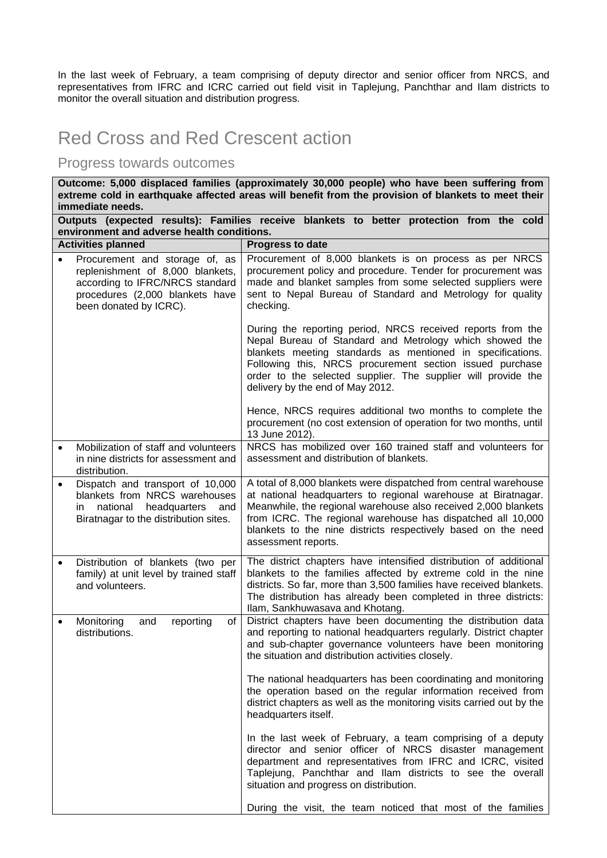In the last week of February, a team comprising of deputy director and senior officer from NRCS, and representatives from IFRC and ICRC carried out field visit in Taplejung, Panchthar and Ilam districts to monitor the overall situation and distribution progress.

# Red Cross and Red Crescent action

# Progress towards outcomes

**Outcome: 5,000 displaced families (approximately 30,000 people) who have been suffering from extreme cold in earthquake affected areas will benefit from the provision of blankets to meet their immediate needs.** 

| Outputs (expected results): Families receive blankets to better protection from the cold<br>environment and adverse health conditions. |                                                                                                                                                                    |                                                                                                                                                                                                                                                                                                                                                            |  |  |  |
|----------------------------------------------------------------------------------------------------------------------------------------|--------------------------------------------------------------------------------------------------------------------------------------------------------------------|------------------------------------------------------------------------------------------------------------------------------------------------------------------------------------------------------------------------------------------------------------------------------------------------------------------------------------------------------------|--|--|--|
|                                                                                                                                        | <b>Activities planned</b>                                                                                                                                          | Progress to date                                                                                                                                                                                                                                                                                                                                           |  |  |  |
|                                                                                                                                        | Procurement and storage of, as<br>replenishment of 8,000 blankets,<br>according to IFRC/NRCS standard<br>procedures (2,000 blankets have<br>been donated by ICRC). | Procurement of 8,000 blankets is on process as per NRCS<br>procurement policy and procedure. Tender for procurement was<br>made and blanket samples from some selected suppliers were<br>sent to Nepal Bureau of Standard and Metrology for quality<br>checking.                                                                                           |  |  |  |
|                                                                                                                                        |                                                                                                                                                                    | During the reporting period, NRCS received reports from the<br>Nepal Bureau of Standard and Metrology which showed the<br>blankets meeting standards as mentioned in specifications.<br>Following this, NRCS procurement section issued purchase<br>order to the selected supplier. The supplier will provide the<br>delivery by the end of May 2012.      |  |  |  |
|                                                                                                                                        |                                                                                                                                                                    | Hence, NRCS requires additional two months to complete the<br>procurement (no cost extension of operation for two months, until<br>13 June 2012).                                                                                                                                                                                                          |  |  |  |
| $\bullet$                                                                                                                              | Mobilization of staff and volunteers<br>in nine districts for assessment and<br>distribution.                                                                      | NRCS has mobilized over 160 trained staff and volunteers for<br>assessment and distribution of blankets.                                                                                                                                                                                                                                                   |  |  |  |
|                                                                                                                                        | Dispatch and transport of 10,000<br>blankets from NRCS warehouses<br>national<br>headquarters<br>and<br>in.<br>Biratnagar to the distribution sites.               | A total of 8,000 blankets were dispatched from central warehouse<br>at national headquarters to regional warehouse at Biratnagar.<br>Meanwhile, the regional warehouse also received 2,000 blankets<br>from ICRC. The regional warehouse has dispatched all 10,000<br>blankets to the nine districts respectively based on the need<br>assessment reports. |  |  |  |
|                                                                                                                                        | Distribution of blankets (two per<br>family) at unit level by trained staff<br>and volunteers.                                                                     | The district chapters have intensified distribution of additional<br>blankets to the families affected by extreme cold in the nine<br>districts. So far, more than 3,500 families have received blankets.<br>The distribution has already been completed in three districts:<br>Ilam, Sankhuwasava and Khotang.                                            |  |  |  |
| ٠                                                                                                                                      | Monitoring<br>and<br>reporting<br>of<br>distributions.                                                                                                             | District chapters have been documenting the distribution data<br>and reporting to national headquarters regularly. District chapter<br>and sub-chapter governance volunteers have been monitoring<br>the situation and distribution activities closely.                                                                                                    |  |  |  |
|                                                                                                                                        |                                                                                                                                                                    | The national headquarters has been coordinating and monitoring<br>the operation based on the regular information received from<br>district chapters as well as the monitoring visits carried out by the<br>headquarters itself.                                                                                                                            |  |  |  |
|                                                                                                                                        |                                                                                                                                                                    | In the last week of February, a team comprising of a deputy<br>director and senior officer of NRCS disaster management<br>department and representatives from IFRC and ICRC, visited<br>Taplejung, Panchthar and Ilam districts to see the overall<br>situation and progress on distribution.                                                              |  |  |  |
|                                                                                                                                        |                                                                                                                                                                    | During the visit, the team noticed that most of the families                                                                                                                                                                                                                                                                                               |  |  |  |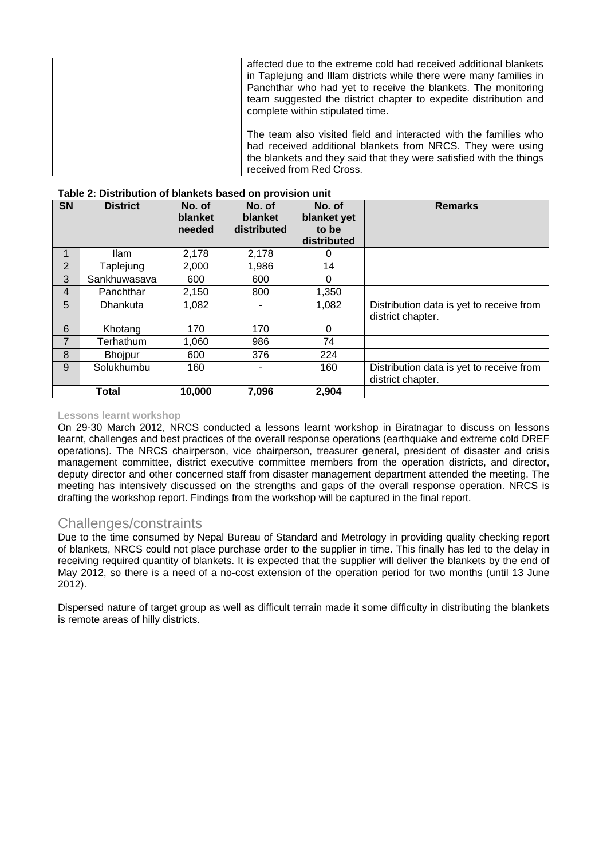|                                                              | affected due to the extreme cold had received additional blankets<br>in Taplejung and Illam districts while there were many families in<br>Panchthar who had yet to receive the blankets. The monitoring<br>team suggested the district chapter to expedite distribution and |
|--------------------------------------------------------------|------------------------------------------------------------------------------------------------------------------------------------------------------------------------------------------------------------------------------------------------------------------------------|
| complete within stipulated time.<br>received from Red Cross. | The team also visited field and interacted with the families who<br>had received additional blankets from NRCS. They were using<br>the blankets and they said that they were satisfied with the things                                                                       |

| <b>SN</b>      | <b>District</b> | No. of<br>blanket<br>needed | No. of<br>blanket<br>distributed | No. of<br>blanket yet<br>to be<br>distributed | <b>Remarks</b>                                                |
|----------------|-----------------|-----------------------------|----------------------------------|-----------------------------------------------|---------------------------------------------------------------|
| 1              | Ilam            | 2,178                       | 2,178                            | O                                             |                                                               |
| $\overline{2}$ | Taplejung       | 2,000                       | 1,986                            | 14                                            |                                                               |
| 3              | Sankhuwasava    | 600                         | 600                              | 0                                             |                                                               |
| 4              | Panchthar       | 2,150                       | 800                              | 1,350                                         |                                                               |
| 5              | Dhankuta        | 1,082                       |                                  | 1,082                                         | Distribution data is yet to receive from<br>district chapter. |
| 6              | Khotang         | 170                         | 170                              | $\Omega$                                      |                                                               |
| $\overline{7}$ | Terhathum       | 1,060                       | 986                              | 74                                            |                                                               |
| 8              | <b>Bhojpur</b>  | 600                         | 376                              | 224                                           |                                                               |
| 9              | Solukhumbu      | 160                         |                                  | 160                                           | Distribution data is yet to receive from<br>district chapter. |
| <b>Total</b>   |                 | 10,000                      | 7,096                            | 2,904                                         |                                                               |

#### **Table 2: Distribution of blankets based on provision unit**

#### **Lessons learnt workshop**

On 29-30 March 2012, NRCS conducted a lessons learnt workshop in Biratnagar to discuss on lessons learnt, challenges and best practices of the overall response operations (earthquake and extreme cold DREF operations). The NRCS chairperson, vice chairperson, treasurer general, president of disaster and crisis management committee, district executive committee members from the operation districts, and director, deputy director and other concerned staff from disaster management department attended the meeting. The meeting has intensively discussed on the strengths and gaps of the overall response operation. NRCS is drafting the workshop report. Findings from the workshop will be captured in the final report.

## Challenges/constraints

Due to the time consumed by Nepal Bureau of Standard and Metrology in providing quality checking report of blankets, NRCS could not place purchase order to the supplier in time. This finally has led to the delay in receiving required quantity of blankets. It is expected that the supplier will deliver the blankets by the end of May 2012, so there is a need of a no-cost extension of the operation period for two months (until 13 June 2012).

Dispersed nature of target group as well as difficult terrain made it some difficulty in distributing the blankets is remote areas of hilly districts.